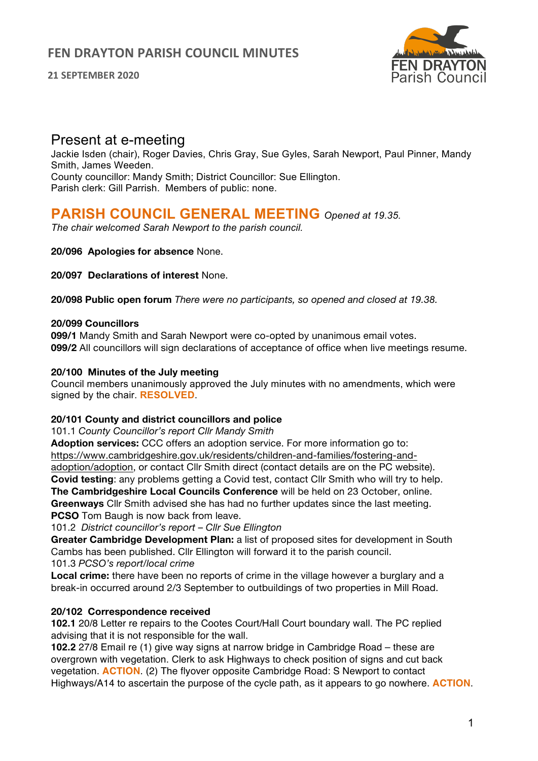**21 SEPTEMBER 2020**



# Present at e-meeting

Jackie Isden (chair), Roger Davies, Chris Gray, Sue Gyles, Sarah Newport, Paul Pinner, Mandy Smith, James Weeden. County councillor: Mandy Smith; District Councillor: Sue Ellington. Parish clerk: Gill Parrish. Members of public: none.

# **PARISH COUNCIL GENERAL MEETING** *Opened at 19.35.*

*The chair welcomed Sarah Newport to the parish council.*

## **20/096 Apologies for absence** None.

**20/097 Declarations of interest** None.

**20/098 Public open forum** *There were no participants, so opened and closed at 19.38.*

## **20/099 Councillors**

**099/1** Mandy Smith and Sarah Newport were co-opted by unanimous email votes. **099/2** All councillors will sign declarations of acceptance of office when live meetings resume.

## **20/100 Minutes of the July meeting**

Council members unanimously approved the July minutes with no amendments, which were signed by the chair. **RESOLVED**.

#### **20/101 County and district councillors and police**

101.1 *County Councillor's report Cllr Mandy Smith*

**Adoption services:** CCC offers an adoption service. For more information go to: https://www.cambridgeshire.gov.uk/residents/children-and-families/fostering-andadoption/adoption, or contact Cllr Smith direct (contact details are on the PC website). **Covid testing**: any problems getting a Covid test, contact Cllr Smith who will try to help. **The Cambridgeshire Local Councils Conference** will be held on 23 October, online. **Greenways** Cllr Smith advised she has had no further updates since the last meeting. **PCSO** Tom Baugh is now back from leave.

101.2 *District councillor's report* – *Cllr Sue Ellington*

**Greater Cambridge Development Plan:** a list of proposed sites for development in South Cambs has been published. Cllr Ellington will forward it to the parish council. 101.3 *PCSO's report/local crime*

**Local crime:** there have been no reports of crime in the village however a burglary and a break-in occurred around 2/3 September to outbuildings of two properties in Mill Road.

## **20/102 Correspondence received**

**102.1** 20/8 Letter re repairs to the Cootes Court/Hall Court boundary wall. The PC replied advising that it is not responsible for the wall.

**102.2** 27/8 Email re (1) give way signs at narrow bridge in Cambridge Road – these are overgrown with vegetation. Clerk to ask Highways to check position of signs and cut back vegetation. **ACTION**. (2) The flyover opposite Cambridge Road: S Newport to contact Highways/A14 to ascertain the purpose of the cycle path, as it appears to go nowhere. **ACTION**.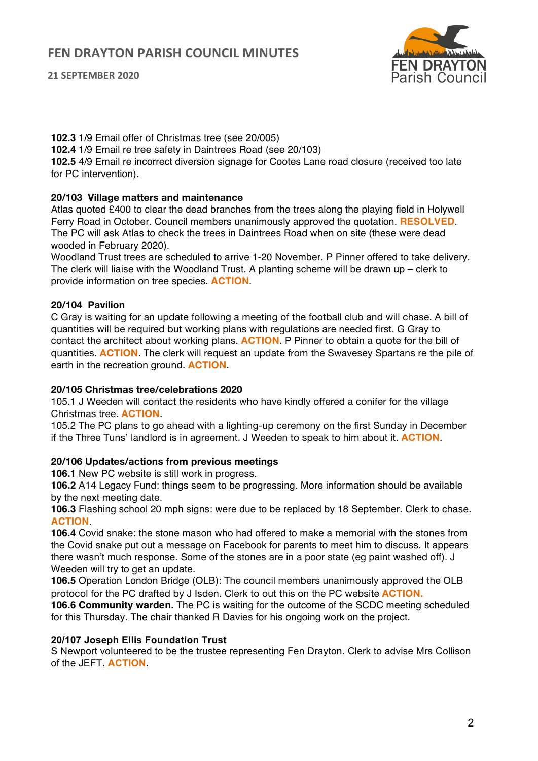



**102.3** 1/9 Email offer of Christmas tree (see 20/005) **102.4** 1/9 Email re tree safety in Daintrees Road (see 20/103) **102.5** 4/9 Email re incorrect diversion signage for Cootes Lane road closure (received too late for PC intervention).

## **20/103 Village matters and maintenance**

Atlas quoted £400 to clear the dead branches from the trees along the playing field in Holywell Ferry Road in October. Council members unanimously approved the quotation. **RESOLVED**. The PC will ask Atlas to check the trees in Daintrees Road when on site (these were dead wooded in February 2020).

Woodland Trust trees are scheduled to arrive 1-20 November. P Pinner offered to take delivery. The clerk will liaise with the Woodland Trust. A planting scheme will be drawn up – clerk to provide information on tree species. **ACTION**.

## **20/104 Pavilion**

C Gray is waiting for an update following a meeting of the football club and will chase. A bill of quantities will be required but working plans with regulations are needed first. G Gray to contact the architect about working plans. **ACTION**. P Pinner to obtain a quote for the bill of quantities. **ACTION**. The clerk will request an update from the Swavesey Spartans re the pile of earth in the recreation ground. **ACTION**.

#### **20/105 Christmas tree/celebrations 2020**

105.1 J Weeden will contact the residents who have kindly offered a conifer for the village Christmas tree. **ACTION**.

105.2 The PC plans to go ahead with a lighting-up ceremony on the first Sunday in December if the Three Tuns' landlord is in agreement. J Weeden to speak to him about it. **ACTION**.

#### **20/106 Updates/actions from previous meetings**

**106.1** New PC website is still work in progress.

**106.2** A14 Legacy Fund: things seem to be progressing. More information should be available by the next meeting date.

**106.3** Flashing school 20 mph signs: were due to be replaced by 18 September. Clerk to chase. **ACTION**.

**106.4** Covid snake: the stone mason who had offered to make a memorial with the stones from the Covid snake put out a message on Facebook for parents to meet him to discuss. It appears there wasn't much response. Some of the stones are in a poor state (eg paint washed off). J Weeden will try to get an update.

**106.5** Operation London Bridge (OLB): The council members unanimously approved the OLB protocol for the PC drafted by J Isden. Clerk to out this on the PC website **ACTION.**

**106.6 Community warden.** The PC is waiting for the outcome of the SCDC meeting scheduled for this Thursday. The chair thanked R Davies for his ongoing work on the project.

## **20/107 Joseph Ellis Foundation Trust**

S Newport volunteered to be the trustee representing Fen Drayton. Clerk to advise Mrs Collison of the JEFT**. ACTION.**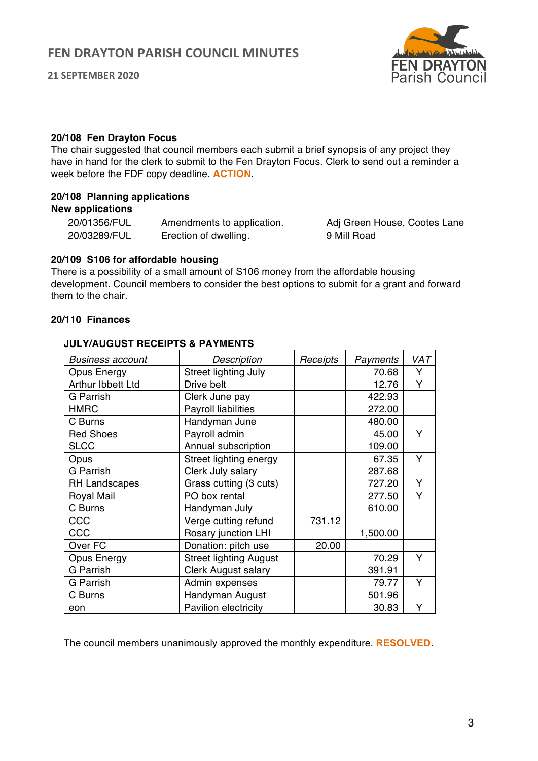

#### **20/108 Fen Drayton Focus**

The chair suggested that council members each submit a brief synopsis of any project they have in hand for the clerk to submit to the Fen Drayton Focus. Clerk to send out a reminder a week before the FDF copy deadline. **ACTION**.

#### **20/108 Planning applications New applications**

| 20/01356/FUL | Amendments to application. | Adj Green House, Cootes Lane |
|--------------|----------------------------|------------------------------|
| 20/03289/FUL | Erection of dwelling.      | 9 Mill Road                  |

#### **20/109 S106 for affordable housing**

There is a possibility of a small amount of S106 money from the affordable housing development. Council members to consider the best options to submit for a grant and forward them to the chair.

#### **20/110 Finances**

## *Business account Description Receipts Payments VAT* Opus Energy Street lighting July | 70.68 Y Arthur Ibbett Ltd Drive belt 12.76 Y G Parrish Clerk June pay 1994 122.93 HMRC Payroll liabilities | 272.00 C Burns Handyman June 1 480.00 Red Shoes Payroll admin Red Shoes Payroll admin Number 2016 SLCC Annual subscription 109.00 Opus Street lighting energy | 67.35 Y G Parrish Clerk July salary 1987.68 RH Landscapes Grass cutting (3 cuts) | 727.20 Y Royal Mail PO box rental  $\vert$  777.50 Y C Burns | Handyman July | 610.00 CCC Verge cutting refund 731.12 CCC Rosary junction LHI 1,500.00 Over FC Donation: pitch use 20.00 Opus Energy Street lighting August | 70.29 Y G Parrish Clerk August salary | 391.91 G Parrish Admin expenses 1 79.77 Y C Burns | Handyman August | 501.96 eon | Pavilion electricity | 30.83 Y

#### **JULY/AUGUST RECEIPTS & PAYMENTS**

The council members unanimously approved the monthly expenditure. **RESOLVED**.